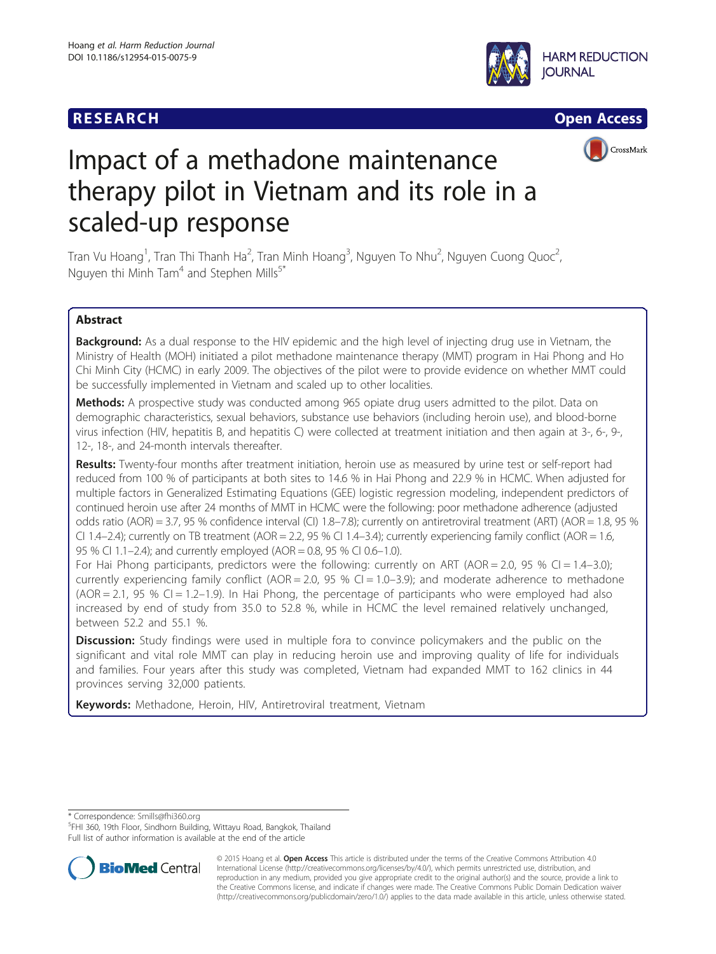





# Impact of a methadone maintenance therapy pilot in Vietnam and its role in a scaled-up response

Tran Vu Hoang<sup>1</sup>, Tran Thi Thanh Ha<sup>2</sup>, Tran Minh Hoang<sup>3</sup>, Nguyen To Nhu<sup>2</sup>, Nguyen Cuong Quoc<sup>2</sup> , Nguyen thi Minh Tam<sup>4</sup> and Stephen Mills<sup>5\*</sup>

# Abstract

**Background:** As a dual response to the HIV epidemic and the high level of injecting drug use in Vietnam, the Ministry of Health (MOH) initiated a pilot methadone maintenance therapy (MMT) program in Hai Phong and Ho Chi Minh City (HCMC) in early 2009. The objectives of the pilot were to provide evidence on whether MMT could be successfully implemented in Vietnam and scaled up to other localities.

Methods: A prospective study was conducted among 965 opiate drug users admitted to the pilot. Data on demographic characteristics, sexual behaviors, substance use behaviors (including heroin use), and blood-borne virus infection (HIV, hepatitis B, and hepatitis C) were collected at treatment initiation and then again at 3-, 6-, 9-, 12-, 18-, and 24-month intervals thereafter.

Results: Twenty-four months after treatment initiation, heroin use as measured by urine test or self-report had reduced from 100 % of participants at both sites to 14.6 % in Hai Phong and 22.9 % in HCMC. When adjusted for multiple factors in Generalized Estimating Equations (GEE) logistic regression modeling, independent predictors of continued heroin use after 24 months of MMT in HCMC were the following: poor methadone adherence (adjusted odds ratio (AOR) = 3.7, 95 % confidence interval (CI) 1.8–7.8); currently on antiretroviral treatment (ART) (AOR = 1.8, 95 % CI 1.4–2.4); currently on TB treatment (AOR = 2.2, 95 % CI 1.4–3.4); currently experiencing family conflict (AOR = 1.6, 95 % CI 1.1–2.4); and currently employed (AOR = 0.8, 95 % CI 0.6–1.0).

For Hai Phong participants, predictors were the following: currently on ART (AOR = 2.0, 95 % CI = 1.4–3.0); currently experiencing family conflict (AOR = 2.0, 95 % CI = 1.0–3.9); and moderate adherence to methadone  $(AOR = 2.1, 95, 96)$  CI = 1.2–1.9). In Hai Phong, the percentage of participants who were employed had also increased by end of study from 35.0 to 52.8 %, while in HCMC the level remained relatively unchanged, between 52.2 and 55.1 %.

**Discussion:** Study findings were used in multiple fora to convince policymakers and the public on the significant and vital role MMT can play in reducing heroin use and improving quality of life for individuals and families. Four years after this study was completed, Vietnam had expanded MMT to 162 clinics in 44 provinces serving 32,000 patients.

Keywords: Methadone, Heroin, HIV, Antiretroviral treatment, Vietnam

\* Correspondence: [Smills@fhi360.org](mailto:Smills@fhi360.org) <sup>5</sup>

FHI 360, 19th Floor, Sindhorn Building, Wittayu Road, Bangkok, Thailand Full list of author information is available at the end of the article



<sup>© 2015</sup> Hoang et al. Open Access This article is distributed under the terms of the Creative Commons Attribution 4.0 International License [\(http://creativecommons.org/licenses/by/4.0/](http://creativecommons.org/licenses/by/4.0/)), which permits unrestricted use, distribution, and reproduction in any medium, provided you give appropriate credit to the original author(s) and the source, provide a link to the Creative Commons license, and indicate if changes were made. The Creative Commons Public Domain Dedication waiver [\(http://creativecommons.org/publicdomain/zero/1.0/](http://creativecommons.org/publicdomain/zero/1.0/)) applies to the data made available in this article, unless otherwise stated.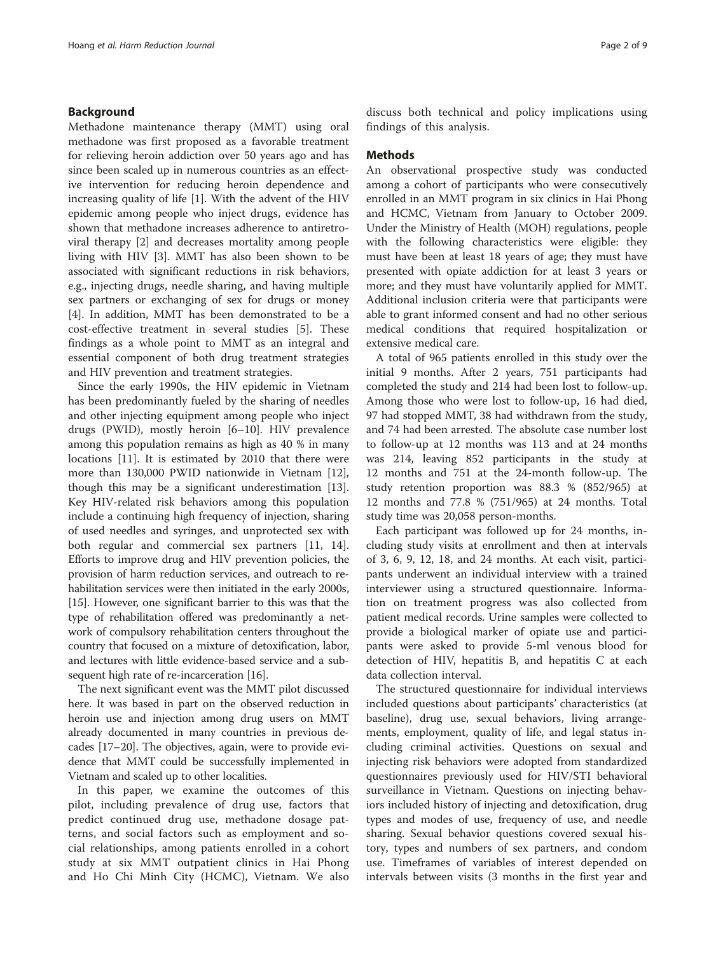# Background

Methadone maintenance therapy (MMT) using oral methadone was first proposed as a favorable treatment for relieving heroin addiction over 50 years ago and has since been scaled up in numerous countries as an effective intervention for reducing heroin dependence and increasing quality of life [[1\]](#page-8-0). With the advent of the HIV epidemic among people who inject drugs, evidence has shown that methadone increases adherence to antiretroviral therapy [\[2](#page-8-0)] and decreases mortality among people living with HIV [\[3](#page-8-0)]. MMT has also been shown to be associated with significant reductions in risk behaviors, e.g., injecting drugs, needle sharing, and having multiple sex partners or exchanging of sex for drugs or money [[4\]](#page-8-0). In addition, MMT has been demonstrated to be a cost-effective treatment in several studies [[5](#page-8-0)]. These findings as a whole point to MMT as an integral and essential component of both drug treatment strategies and HIV prevention and treatment strategies.

Since the early 1990s, the HIV epidemic in Vietnam has been predominantly fueled by the sharing of needles and other injecting equipment among people who inject drugs (PWID), mostly heroin [[6](#page-8-0)–[10](#page-8-0)]. HIV prevalence among this population remains as high as 40 % in many locations [[11\]](#page-8-0). It is estimated by 2010 that there were more than 130,000 PWID nationwide in Vietnam [\[12](#page-8-0)], though this may be a significant underestimation [\[13](#page-8-0)]. Key HIV-related risk behaviors among this population include a continuing high frequency of injection, sharing of used needles and syringes, and unprotected sex with both regular and commercial sex partners [[11, 14](#page-8-0)]. Efforts to improve drug and HIV prevention policies, the provision of harm reduction services, and outreach to rehabilitation services were then initiated in the early 2000s, [[15](#page-8-0)]. However, one significant barrier to this was that the type of rehabilitation offered was predominantly a network of compulsory rehabilitation centers throughout the country that focused on a mixture of detoxification, labor, and lectures with little evidence-based service and a subsequent high rate of re-incarceration [\[16](#page-8-0)].

The next significant event was the MMT pilot discussed here. It was based in part on the observed reduction in heroin use and injection among drug users on MMT already documented in many countries in previous decades [[17](#page-8-0)–[20\]](#page-8-0). The objectives, again, were to provide evidence that MMT could be successfully implemented in Vietnam and scaled up to other localities.

In this paper, we examine the outcomes of this pilot, including prevalence of drug use, factors that predict continued drug use, methadone dosage patterns, and social factors such as employment and social relationships, among patients enrolled in a cohort study at six MMT outpatient clinics in Hai Phong and Ho Chi Minh City (HCMC), Vietnam. We also

discuss both technical and policy implications using findings of this analysis.

# **Methods**

An observational prospective study was conducted among a cohort of participants who were consecutively enrolled in an MMT program in six clinics in Hai Phong and HCMC, Vietnam from January to October 2009. Under the Ministry of Health (MOH) regulations, people with the following characteristics were eligible: they must have been at least 18 years of age; they must have presented with opiate addiction for at least 3 years or more; and they must have voluntarily applied for MMT. Additional inclusion criteria were that participants were able to grant informed consent and had no other serious medical conditions that required hospitalization or extensive medical care.

A total of 965 patients enrolled in this study over the initial 9 months. After 2 years, 751 participants had completed the study and 214 had been lost to follow-up. Among those who were lost to follow-up, 16 had died, 97 had stopped MMT, 38 had withdrawn from the study, and 74 had been arrested. The absolute case number lost to follow-up at 12 months was 113 and at 24 months was 214, leaving 852 participants in the study at 12 months and 751 at the 24-month follow-up. The study retention proportion was 88.3 % (852/965) at 12 months and 77.8 % (751/965) at 24 months. Total study time was 20,058 person-months.

Each participant was followed up for 24 months, including study visits at enrollment and then at intervals of 3, 6, 9, 12, 18, and 24 months. At each visit, participants underwent an individual interview with a trained interviewer using a structured questionnaire. Information on treatment progress was also collected from patient medical records. Urine samples were collected to provide a biological marker of opiate use and participants were asked to provide 5-ml venous blood for detection of HIV, hepatitis B, and hepatitis C at each data collection interval.

The structured questionnaire for individual interviews included questions about participants' characteristics (at baseline), drug use, sexual behaviors, living arrangements, employment, quality of life, and legal status including criminal activities. Questions on sexual and injecting risk behaviors were adopted from standardized questionnaires previously used for HIV/STI behavioral surveillance in Vietnam. Questions on injecting behaviors included history of injecting and detoxification, drug types and modes of use, frequency of use, and needle sharing. Sexual behavior questions covered sexual history, types and numbers of sex partners, and condom use. Timeframes of variables of interest depended on intervals between visits (3 months in the first year and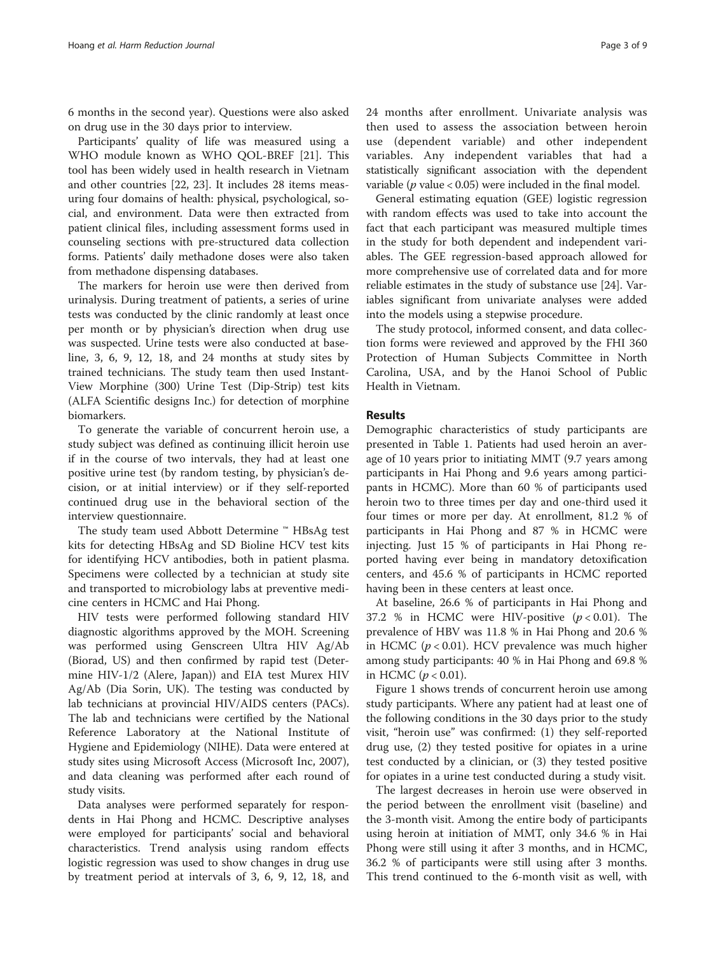6 months in the second year). Questions were also asked on drug use in the 30 days prior to interview.

Participants' quality of life was measured using a WHO module known as WHO QOL-BREF [[21](#page-8-0)]. This tool has been widely used in health research in Vietnam and other countries [\[22](#page-8-0), [23\]](#page-8-0). It includes 28 items measuring four domains of health: physical, psychological, social, and environment. Data were then extracted from patient clinical files, including assessment forms used in counseling sections with pre-structured data collection forms. Patients' daily methadone doses were also taken from methadone dispensing databases.

The markers for heroin use were then derived from urinalysis. During treatment of patients, a series of urine tests was conducted by the clinic randomly at least once per month or by physician's direction when drug use was suspected. Urine tests were also conducted at baseline, 3, 6, 9, 12, 18, and 24 months at study sites by trained technicians. The study team then used Instant-View Morphine (300) Urine Test (Dip-Strip) test kits (ALFA Scientific designs Inc.) for detection of morphine biomarkers.

To generate the variable of concurrent heroin use, a study subject was defined as continuing illicit heroin use if in the course of two intervals, they had at least one positive urine test (by random testing, by physician's decision, or at initial interview) or if they self-reported continued drug use in the behavioral section of the interview questionnaire.

The study team used Abbott Determine ™ HBsAg test kits for detecting HBsAg and SD Bioline HCV test kits for identifying HCV antibodies, both in patient plasma. Specimens were collected by a technician at study site and transported to microbiology labs at preventive medicine centers in HCMC and Hai Phong.

HIV tests were performed following standard HIV diagnostic algorithms approved by the MOH. Screening was performed using Genscreen Ultra HIV Ag/Ab (Biorad, US) and then confirmed by rapid test (Determine HIV-1/2 (Alere, Japan)) and EIA test Murex HIV Ag/Ab (Dia Sorin, UK). The testing was conducted by lab technicians at provincial HIV/AIDS centers (PACs). The lab and technicians were certified by the National Reference Laboratory at the National Institute of Hygiene and Epidemiology (NIHE). Data were entered at study sites using Microsoft Access (Microsoft Inc, 2007), and data cleaning was performed after each round of study visits.

Data analyses were performed separately for respondents in Hai Phong and HCMC. Descriptive analyses were employed for participants' social and behavioral characteristics. Trend analysis using random effects logistic regression was used to show changes in drug use by treatment period at intervals of 3, 6, 9, 12, 18, and

24 months after enrollment. Univariate analysis was then used to assess the association between heroin use (dependent variable) and other independent variables. Any independent variables that had a statistically significant association with the dependent variable ( $p$  value < 0.05) were included in the final model.

General estimating equation (GEE) logistic regression with random effects was used to take into account the fact that each participant was measured multiple times in the study for both dependent and independent variables. The GEE regression-based approach allowed for more comprehensive use of correlated data and for more reliable estimates in the study of substance use [[24\]](#page-8-0). Variables significant from univariate analyses were added into the models using a stepwise procedure.

The study protocol, informed consent, and data collection forms were reviewed and approved by the FHI 360 Protection of Human Subjects Committee in North Carolina, USA, and by the Hanoi School of Public Health in Vietnam.

# Results

Demographic characteristics of study participants are presented in Table [1.](#page-3-0) Patients had used heroin an average of 10 years prior to initiating MMT (9.7 years among participants in Hai Phong and 9.6 years among participants in HCMC). More than 60 % of participants used heroin two to three times per day and one-third used it four times or more per day. At enrollment, 81.2 % of participants in Hai Phong and 87 % in HCMC were injecting. Just 15 % of participants in Hai Phong reported having ever being in mandatory detoxification centers, and 45.6 % of participants in HCMC reported having been in these centers at least once.

At baseline, 26.6 % of participants in Hai Phong and 37.2 % in HCMC were HIV-positive  $(p < 0.01)$ . The prevalence of HBV was 11.8 % in Hai Phong and 20.6 % in HCMC ( $p < 0.01$ ). HCV prevalence was much higher among study participants: 40 % in Hai Phong and 69.8 % in HCMC ( $p < 0.01$ ).

Figure [1](#page-4-0) shows trends of concurrent heroin use among study participants. Where any patient had at least one of the following conditions in the 30 days prior to the study visit, "heroin use" was confirmed: (1) they self-reported drug use, (2) they tested positive for opiates in a urine test conducted by a clinician, or (3) they tested positive for opiates in a urine test conducted during a study visit.

The largest decreases in heroin use were observed in the period between the enrollment visit (baseline) and the 3-month visit. Among the entire body of participants using heroin at initiation of MMT, only 34.6 % in Hai Phong were still using it after 3 months, and in HCMC, 36.2 % of participants were still using after 3 months. This trend continued to the 6-month visit as well, with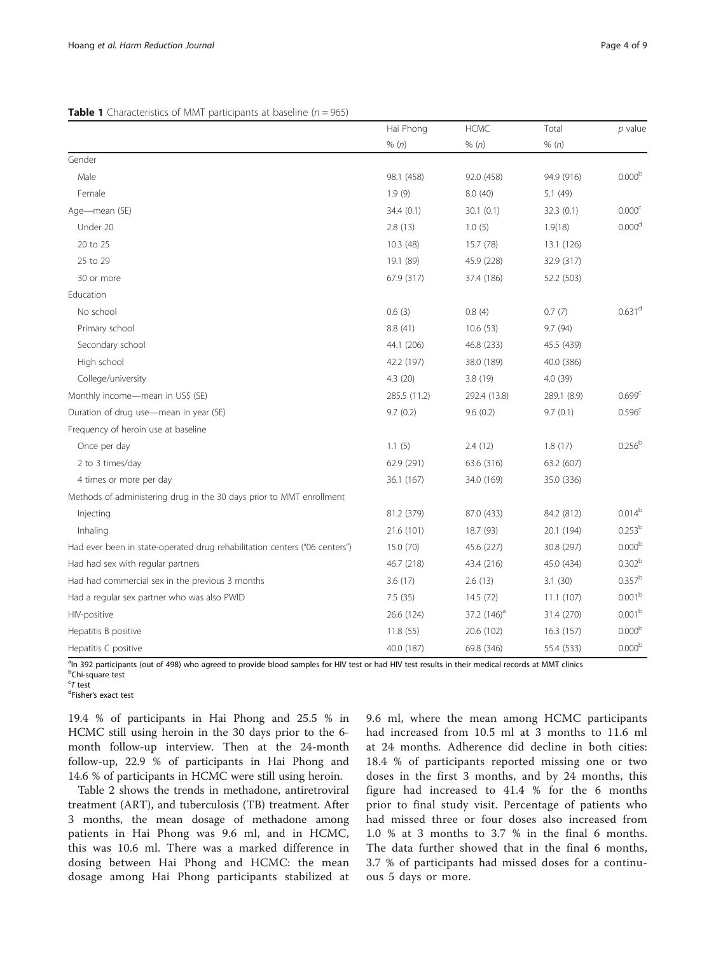<span id="page-3-0"></span>

|                                                                            | Hai Phong    | <b>HCMC</b>    | Total       | $p$ value          |
|----------------------------------------------------------------------------|--------------|----------------|-------------|--------------------|
|                                                                            | % (n)        | % (n)          | % $(n)$     |                    |
| Gender                                                                     |              |                |             |                    |
| Male                                                                       | 98.1 (458)   | 92.0 (458)     | 94.9 (916)  | 0.000 <sup>b</sup> |
| Female                                                                     | 1.9(9)       | 8.0(40)        | 5.1(49)     |                    |
| Age-mean (SE)                                                              | 34.4 (0.1)   | 30.1(0.1)      | 32.3(0.1)   | 0.000 <sup>c</sup> |
| Under 20                                                                   | 2.8(13)      | 1.0(5)         | 1.9(18)     | 0.000 <sup>d</sup> |
| 20 to 25                                                                   | 10.3(48)     | 15.7 (78)      | 13.1 (126)  |                    |
| 25 to 29                                                                   | 19.1 (89)    | 45.9 (228)     | 32.9 (317)  |                    |
| 30 or more                                                                 | 67.9 (317)   | 37.4 (186)     | 52.2 (503)  |                    |
| Education                                                                  |              |                |             |                    |
| No school                                                                  | 0.6(3)       | 0.8(4)         | 0.7(7)      | 0.631 <sup>d</sup> |
| Primary school                                                             | 8.8(41)      | 10.6(53)       | 9.7 (94)    |                    |
| Secondary school                                                           | 44.1 (206)   | 46.8 (233)     | 45.5 (439)  |                    |
| High school                                                                | 42.2 (197)   | 38.0 (189)     | 40.0 (386)  |                    |
| College/university                                                         | 4.3(20)      | 3.8(19)        | 4.0 (39)    |                    |
| Monthly income-mean in US\$ (SE)                                           | 285.5 (11.2) | 292.4 (13.8)   | 289.1 (8.9) | 0.699 <sup>c</sup> |
| Duration of drug use-mean in year (SE)                                     | 9.7(0.2)     | 9.6(0.2)       | 9.7(0.1)    | 0.596 <sup>c</sup> |
| Frequency of heroin use at baseline                                        |              |                |             |                    |
| Once per day                                                               | 1.1(5)       | 2.4(12)        | 1.8(17)     | 0.256 <sup>b</sup> |
| 2 to 3 times/day                                                           | 62.9 (291)   | 63.6 (316)     | 63.2 (607)  |                    |
| 4 times or more per day                                                    | 36.1 (167)   | 34.0 (169)     | 35.0 (336)  |                    |
| Methods of administering drug in the 30 days prior to MMT enrollment       |              |                |             |                    |
| Injecting                                                                  | 81.2 (379)   | 87.0 (433)     | 84.2 (812)  | 0.014 <sup>b</sup> |
| Inhaling                                                                   | 21.6 (101)   | 18.7 (93)      | 20.1 (194)  | 0.253 <sup>b</sup> |
| Had ever been in state-operated drug rehabilitation centers ("06 centers") | 15.0 (70)    | 45.6 (227)     | 30.8 (297)  | 0.000 <sup>b</sup> |
| Had had sex with regular partners                                          | 46.7 (218)   | 43.4 (216)     | 45.0 (434)  | 0.302 <sup>b</sup> |
| Had had commercial sex in the previous 3 months                            | 3.6(17)      | 2.6(13)        | 3.1(30)     | $0.357^{b}$        |
| Had a regular sex partner who was also PWID                                | 7.5(35)      | 14.5(72)       | 11.1(107)   | 0.001 <sup>b</sup> |
| HIV-positive                                                               | 26.6 (124)   | 37.2 $(146)^a$ | 31.4 (270)  | 0.001 <sup>b</sup> |
| Hepatitis B positive                                                       | 11.8(55)     | 20.6 (102)     | 16.3 (157)  | 0.000 <sup>b</sup> |
| Hepatitis C positive                                                       | 40.0 (187)   | 69.8 (346)     | 55.4 (533)  | 0.000 <sup>b</sup> |

<sup>a</sup>In 392 participants (out of 498) who agreed to provide blood samples for HIV test or had HIV test results in their medical records at MMT clinics

<sup>b</sup>Chi-square test

<sup>c</sup>T test<br><sup>d</sup>Eiche

Fisher's exact test

19.4 % of participants in Hai Phong and 25.5 % in HCMC still using heroin in the 30 days prior to the 6 month follow-up interview. Then at the 24-month follow-up, 22.9 % of participants in Hai Phong and 14.6 % of participants in HCMC were still using heroin.

Table [2](#page-4-0) shows the trends in methadone, antiretroviral treatment (ART), and tuberculosis (TB) treatment. After 3 months, the mean dosage of methadone among patients in Hai Phong was 9.6 ml, and in HCMC, this was 10.6 ml. There was a marked difference in dosing between Hai Phong and HCMC: the mean dosage among Hai Phong participants stabilized at 9.6 ml, where the mean among HCMC participants had increased from 10.5 ml at 3 months to 11.6 ml at 24 months. Adherence did decline in both cities: 18.4 % of participants reported missing one or two doses in the first 3 months, and by 24 months, this figure had increased to 41.4 % for the 6 months prior to final study visit. Percentage of patients who had missed three or four doses also increased from 1.0 % at 3 months to 3.7 % in the final 6 months. The data further showed that in the final 6 months, 3.7 % of participants had missed doses for a continuous 5 days or more.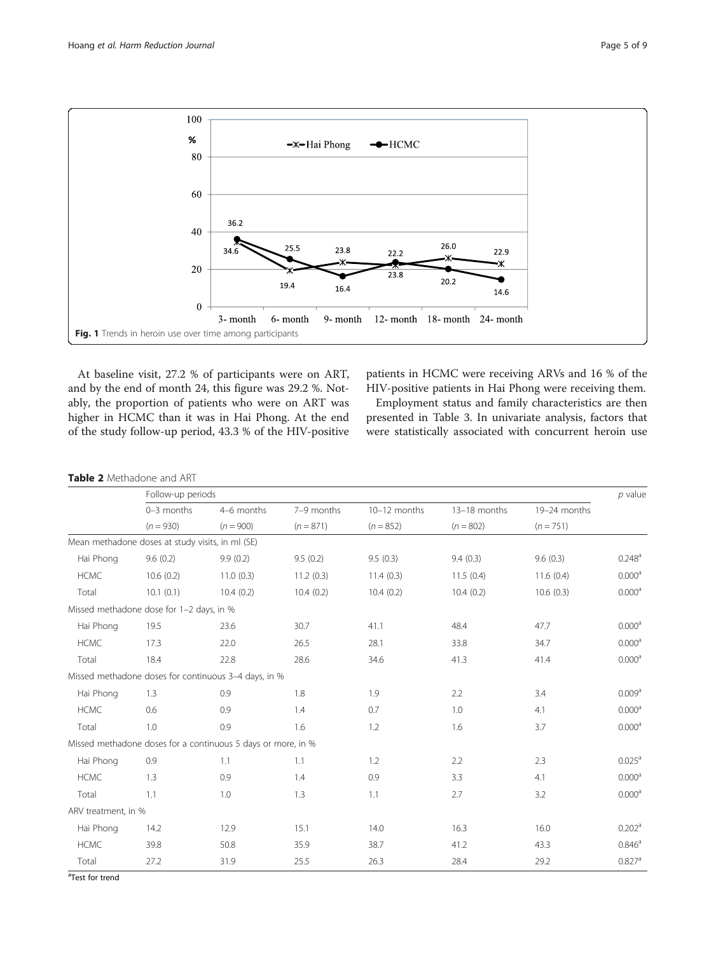<span id="page-4-0"></span>

At baseline visit, 27.2 % of participants were on ART, and by the end of month 24, this figure was 29.2 %. Notably, the proportion of patients who were on ART was higher in HCMC than it was in Hai Phong. At the end of the study follow-up period, 43.3 % of the HIV-positive

patients in HCMC were receiving ARVs and 16 % of the HIV-positive patients in Hai Phong were receiving them.

Employment status and family characteristics are then presented in Table [3.](#page-5-0) In univariate analysis, factors that were statistically associated with concurrent heroin use

# Table 2 Methadone and ART

|                     | Follow-up periods                                            |             |             |              |              |              | $p$ value            |
|---------------------|--------------------------------------------------------------|-------------|-------------|--------------|--------------|--------------|----------------------|
|                     | 0-3 months                                                   | 4-6 months  | 7-9 months  | 10-12 months | 13-18 months | 19-24 months |                      |
|                     | $(n = 930)$                                                  | $(n = 900)$ | $(n = 871)$ | $(n = 852)$  | $(n = 802)$  | $(n = 751)$  |                      |
|                     | Mean methadone doses at study visits, in ml (SE)             |             |             |              |              |              |                      |
| Hai Phong           | 9.6(0.2)                                                     | 9.9(0.2)    | 9.5(0.2)    | 9.5(0.3)     | 9.4(0.3)     | 9.6(0.3)     | 0.248 <sup>a</sup>   |
| <b>HCMC</b>         | 10.6(0.2)                                                    | 11.0(0.3)   | 11.2(0.3)   | 11.4(0.3)    | 11.5(0.4)    | 11.6(0.4)    | 0.000 <sup>a</sup>   |
| Total               | 10.1(0.1)                                                    | 10.4(0.2)   | 10.4(0.2)   | 10.4(0.2)    | 10.4(0.2)    | 10.6(0.3)    | 0.000 <sup>a</sup>   |
|                     | Missed methadone dose for 1-2 days, in %                     |             |             |              |              |              |                      |
| Hai Phong           | 19.5                                                         | 23.6        | 30.7        | 41.1         | 48.4         | 47.7         | 0.000 <sup>a</sup>   |
| <b>HCMC</b>         | 17.3                                                         | 22.0        | 26.5        | 28.1         | 33.8         | 34.7         | 0.000 <sup>a</sup>   |
| Total               | 18.4                                                         | 22.8        | 28.6        | 34.6         | 41.3         | 41.4         | 0.000 <sup>a</sup>   |
|                     | Missed methadone doses for continuous 3-4 days, in %         |             |             |              |              |              |                      |
| Hai Phong           | 1.3                                                          | 0.9         | 1.8         | 1.9          | 2.2          | 3.4          | 0.009 <sup>a</sup>   |
| <b>HCMC</b>         | 0.6                                                          | 0.9         | 1.4         | 0.7          | 1.0          | 4.1          | 0.000 <sup>a</sup>   |
| Total               | 1.0                                                          | 0.9         | 1.6         | 1.2          | 1.6          | 3.7          | 0.000 <sup>a</sup>   |
|                     | Missed methadone doses for a continuous 5 days or more, in % |             |             |              |              |              |                      |
| Hai Phong           | 0.9                                                          | 1.1         | 1.1         | 1.2          | 2.2          | 2.3          | 0.025 <sup>a</sup>   |
| <b>HCMC</b>         | 1.3                                                          | 0.9         | 1.4         | 0.9          | 3.3          | 4.1          | 0.000 <sup>a</sup>   |
| Total               | 1.1                                                          | 1.0         | 1.3         | 1.1          | 2.7          | 3.2          | 0.000 <sup>a</sup>   |
| ARV treatment, in % |                                                              |             |             |              |              |              |                      |
| Hai Phong           | 14.2                                                         | 12.9        | 15.1        | 14.0         | 16.3         | 16.0         | 0.202 <sup>a</sup>   |
| <b>HCMC</b>         | 39.8                                                         | 50.8        | 35.9        | 38.7         | 41.2         | 43.3         | 0.846 <sup>a</sup>   |
| Total               | 27.2                                                         | 31.9        | 25.5        | 26.3         | 28.4         | 29.2         | $0.827$ <sup>a</sup> |

<sup>a</sup>Test for trend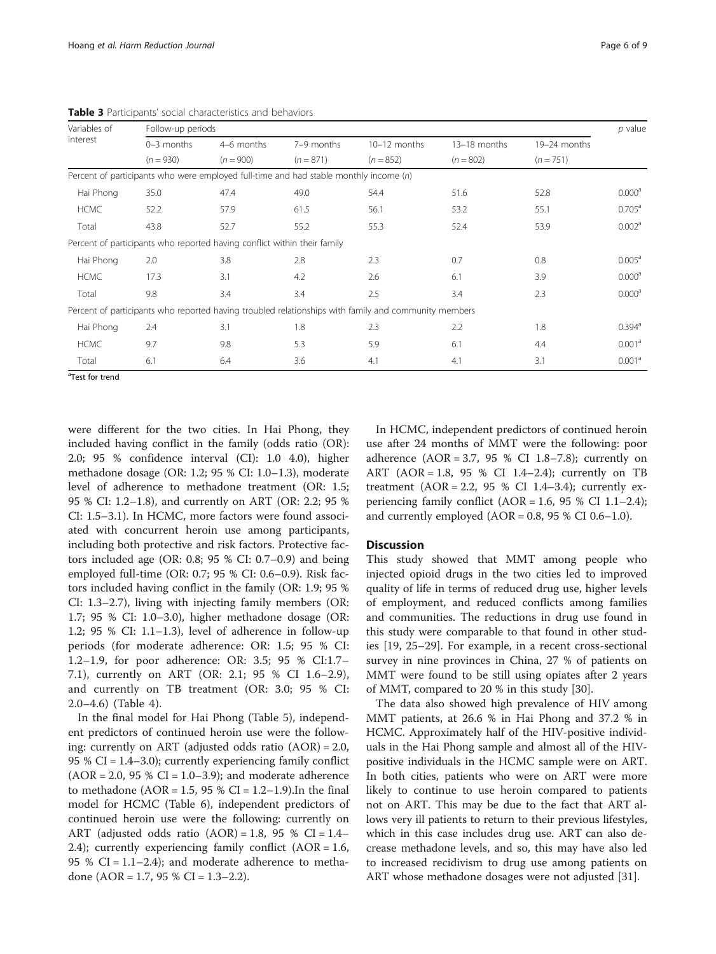| Variables of<br>interest |                                                                                       | Follow-up periods         |                           |                                                                                                      |              |                             |                      |  |
|--------------------------|---------------------------------------------------------------------------------------|---------------------------|---------------------------|------------------------------------------------------------------------------------------------------|--------------|-----------------------------|----------------------|--|
|                          | $0-3$ months                                                                          | 4-6 months<br>$(n = 900)$ | 7-9 months<br>$(n = 871)$ | 10-12 months<br>$(n = 852)$                                                                          | 13-18 months | 19-24 months<br>$(n = 751)$ |                      |  |
|                          | $(n = 930)$                                                                           |                           |                           |                                                                                                      | $(n = 802)$  |                             |                      |  |
|                          | Percent of participants who were employed full-time and had stable monthly income (n) |                           |                           |                                                                                                      |              |                             |                      |  |
| Hai Phong                | 35.0                                                                                  | 47.4                      | 49.0                      | 54.4                                                                                                 | 51.6         | 52.8                        | 0.000 <sup>a</sup>   |  |
| <b>HCMC</b>              | 52.2                                                                                  | 57.9                      | 61.5                      | 56.1                                                                                                 | 53.2         | 55.1                        | $0.705^{\text{a}}$   |  |
| Total                    | 43.8                                                                                  | 52.7                      | 55.2                      | 55.3                                                                                                 | 52.4         | 53.9                        | 0.002 <sup>a</sup>   |  |
|                          | Percent of participants who reported having conflict within their family              |                           |                           |                                                                                                      |              |                             |                      |  |
| Hai Phong                | 2.0                                                                                   | 3.8                       | 2.8                       | 2.3                                                                                                  | 0.7          | 0.8                         | 0.005 <sup>a</sup>   |  |
| <b>HCMC</b>              | 17.3                                                                                  | 3.1                       | 4.2                       | 2.6                                                                                                  | 6.1          | 3.9                         | 0.000 <sup>a</sup>   |  |
| Total                    | 9.8                                                                                   | 3.4                       | 3.4                       | 2.5                                                                                                  | 3.4          | 2.3                         | 0.000 <sup>a</sup>   |  |
|                          |                                                                                       |                           |                           | Percent of participants who reported having troubled relationships with family and community members |              |                             |                      |  |
| Hai Phong                | 2.4                                                                                   | 3.1                       | 1.8                       | 2.3                                                                                                  | 2.2          | 1.8                         | $0.394$ <sup>a</sup> |  |
| <b>HCMC</b>              | 9.7                                                                                   | 9.8                       | 5.3                       | 5.9                                                                                                  | 6.1          | 4.4                         | 0.001 <sup>a</sup>   |  |
| Total                    | 6.1                                                                                   | 6.4                       | 3.6                       | 4.1                                                                                                  | 4.1          | 3.1                         | 0.001 <sup>a</sup>   |  |

<span id="page-5-0"></span>Table 3 Participants' social characteristics and behaviors

<sup>a</sup>Test for trend

were different for the two cities. In Hai Phong, they included having conflict in the family (odds ratio (OR): 2.0; 95 % confidence interval (CI): 1.0 4.0), higher methadone dosage (OR: 1.2; 95 % CI: 1.0–1.3), moderate level of adherence to methadone treatment (OR: 1.5; 95 % CI: 1.2–1.8), and currently on ART (OR: 2.2; 95 % CI: 1.5–3.1). In HCMC, more factors were found associated with concurrent heroin use among participants, including both protective and risk factors. Protective factors included age (OR: 0.8; 95 % CI: 0.7–0.9) and being employed full-time (OR: 0.7; 95 % CI: 0.6–0.9). Risk factors included having conflict in the family (OR: 1.9; 95 % CI: 1.3–2.7), living with injecting family members (OR: 1.7; 95 % CI: 1.0–3.0), higher methadone dosage (OR: 1.2; 95 % CI: 1.1–1.3), level of adherence in follow-up periods (for moderate adherence: OR: 1.5; 95 % CI: 1.2–1.9, for poor adherence: OR: 3.5; 95 % CI:1.7– 7.1), currently on ART (OR: 2.1; 95 % CI 1.6–2.9), and currently on TB treatment (OR: 3.0; 95 % CI: 2.0–4.6) (Table [4](#page-6-0)).

In the final model for Hai Phong (Table [5](#page-6-0)), independent predictors of continued heroin use were the following: currently on ART (adjusted odds ratio (AOR) = 2.0, 95 %  $CI = 1.4-3.0$ ; currently experiencing family conflict  $(AOR = 2.0, 95 % CI = 1.0–3.9);$  and moderate adherence to methadone (AOR = 1.5, 95 % CI = 1.2–1.9). In the final model for HCMC (Table [6\)](#page-6-0), independent predictors of continued heroin use were the following: currently on ART (adjusted odds ratio  $(AOR) = 1.8$ , 95 % CI = 1.4– 2.4); currently experiencing family conflict  $(AOR = 1.6,$ 95 % CI =  $1.1-2.4$ ); and moderate adherence to methadone (AOR = 1.7, 95 % CI = 1.3–2.2).

In HCMC, independent predictors of continued heroin use after 24 months of MMT were the following: poor adherence ( $AOR = 3.7$ ,  $95 % CI = 1.8-7.8$ ); currently on ART (AOR = 1.8, 95 % CI 1.4–2.4); currently on TB treatment (AOR = 2.2,  $95 \%$  CI 1.4-3.4); currently experiencing family conflict  $(AOR = 1.6, 95 % CI 1.1–2.4);$ and currently employed  $(AOR = 0.8, 95 % CI 0.6-1.0).$ 

# **Discussion**

This study showed that MMT among people who injected opioid drugs in the two cities led to improved quality of life in terms of reduced drug use, higher levels of employment, and reduced conflicts among families and communities. The reductions in drug use found in this study were comparable to that found in other studies [\[19](#page-8-0), [25](#page-8-0)–[29](#page-8-0)]. For example, in a recent cross-sectional survey in nine provinces in China, 27 % of patients on MMT were found to be still using opiates after 2 years of MMT, compared to 20 % in this study [[30](#page-8-0)].

The data also showed high prevalence of HIV among MMT patients, at 26.6 % in Hai Phong and 37.2 % in HCMC. Approximately half of the HIV-positive individuals in the Hai Phong sample and almost all of the HIVpositive individuals in the HCMC sample were on ART. In both cities, patients who were on ART were more likely to continue to use heroin compared to patients not on ART. This may be due to the fact that ART allows very ill patients to return to their previous lifestyles, which in this case includes drug use. ART can also decrease methadone levels, and so, this may have also led to increased recidivism to drug use among patients on ART whose methadone dosages were not adjusted [\[31](#page-8-0)].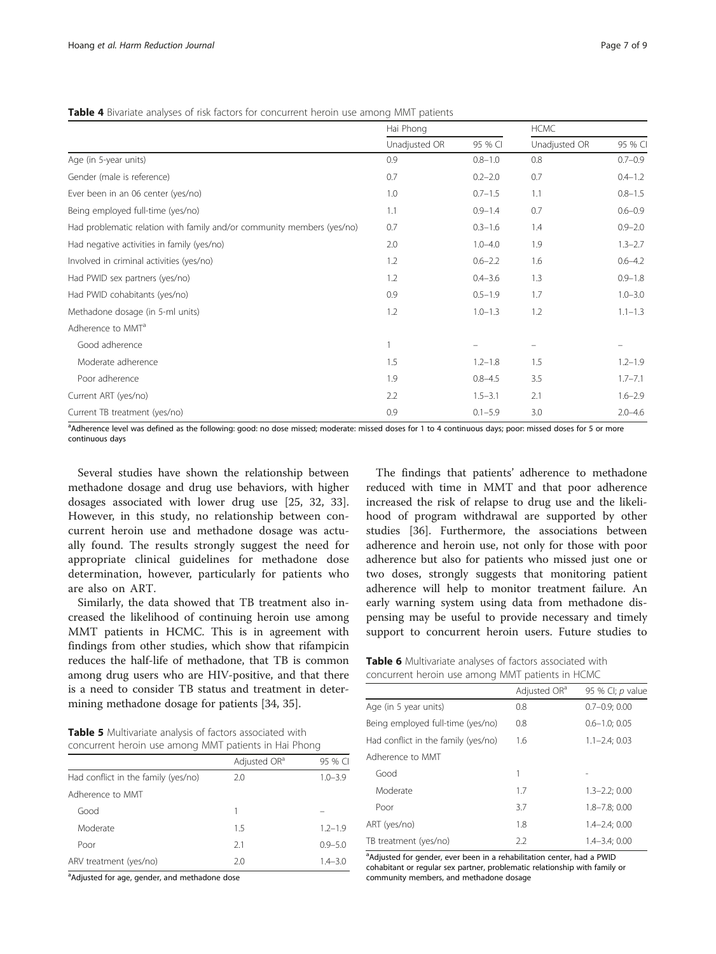### <span id="page-6-0"></span>Table 4 Bivariate analyses of risk factors for concurrent heroin use among MMT patients

|                                                                        | Hai Phong     |             | <b>HCMC</b>              |                   |
|------------------------------------------------------------------------|---------------|-------------|--------------------------|-------------------|
|                                                                        | Unadjusted OR | 95 % CI     | Unadjusted OR            | 95 % CI           |
| Age (in 5-year units)                                                  | 0.9           | $0.8 - 1.0$ | 0.8                      | $0.7 - 0.9$       |
| Gender (male is reference)                                             | 0.7           | $0.2 - 2.0$ | 0.7                      | $0.4 - 1.2$       |
| Ever been in an 06 center (yes/no)                                     | 1.0           | $0.7 - 1.5$ | 1.1                      | $0.8 - 1.5$       |
| Being employed full-time (yes/no)                                      | 1.1           | $0.9 - 1.4$ | 0.7                      | $0.6 - 0.9$       |
| Had problematic relation with family and/or community members (yes/no) | 0.7           | $0.3 - 1.6$ | 1.4                      | $0.9 - 2.0$       |
| Had negative activities in family (yes/no)                             | 2.0           | $1.0 - 4.0$ | 1.9                      | $1.3 - 2.7$       |
| Involved in criminal activities (yes/no)                               | 1.2           | $0.6 - 2.2$ | 1.6                      | $0.6 - 4.2$       |
| Had PWID sex partners (yes/no)                                         | 1.2           | $0.4 - 3.6$ | 1.3                      | $0.9 - 1.8$       |
| Had PWID cohabitants (yes/no)                                          | 0.9           | $0.5 - 1.9$ | 1.7                      | $1.0 - 3.0$       |
| Methadone dosage (in 5-ml units)                                       | 1.2           | $1.0 - 1.3$ | 1.2                      | $1.1 - 1.3$       |
| Adherence to MMT <sup>a</sup>                                          |               |             |                          |                   |
| Good adherence                                                         |               |             | $\overline{\phantom{0}}$ | $\qquad \qquad =$ |
| Moderate adherence                                                     | 1.5           | $1.2 - 1.8$ | 1.5                      | $1.2 - 1.9$       |
| Poor adherence                                                         | 1.9           | $0.8 - 4.5$ | 3.5                      | $1.7 - 7.1$       |
| Current ART (yes/no)                                                   | 2.2           | $1.5 - 3.1$ | 2.1                      | $1.6 - 2.9$       |
| Current TB treatment (yes/no)                                          | 0.9           | $0.1 - 5.9$ | 3.0                      | $2.0 - 4.6$       |

a<br>Adherence level was defined as the following: good: no dose missed; moderate: missed doses for 1 to 4 continuous days; poor: missed doses for 5 or more continuous days

Several studies have shown the relationship between methadone dosage and drug use behaviors, with higher dosages associated with lower drug use [[25, 32, 33](#page-8-0)]. However, in this study, no relationship between concurrent heroin use and methadone dosage was actually found. The results strongly suggest the need for appropriate clinical guidelines for methadone dose determination, however, particularly for patients who are also on ART.

Similarly, the data showed that TB treatment also increased the likelihood of continuing heroin use among MMT patients in HCMC. This is in agreement with findings from other studies, which show that rifampicin reduces the half-life of methadone, that TB is common among drug users who are HIV-positive, and that there is a need to consider TB status and treatment in determining methadone dosage for patients [\[34](#page-8-0), [35](#page-8-0)].

Table 5 Multivariate analysis of factors associated with concurrent heroin use among MMT patients in Hai Phong

|                                     | Adjusted OR <sup>a</sup> | 95 % CI     |
|-------------------------------------|--------------------------|-------------|
| Had conflict in the family (yes/no) | 2.0                      | $1.0 - 3.9$ |
| Adherence to MMT                    |                          |             |
| Good                                |                          |             |
| Moderate                            | 15                       | $1.2 - 1.9$ |
| Poor                                | 21                       | $0.9 - 5.0$ |
| ARV treatment (yes/no)              | 2.0                      | $1.4 - 3.0$ |

<sup>a</sup>Adjusted for age, gender, and methadone dose

The findings that patients' adherence to methadone reduced with time in MMT and that poor adherence increased the risk of relapse to drug use and the likelihood of program withdrawal are supported by other studies [[36\]](#page-8-0). Furthermore, the associations between adherence and heroin use, not only for those with poor adherence but also for patients who missed just one or two doses, strongly suggests that monitoring patient adherence will help to monitor treatment failure. An early warning system using data from methadone dispensing may be useful to provide necessary and timely support to concurrent heroin users. Future studies to

Table 6 Multivariate analyses of factors associated with concurrent heroin use among MMT patients in HCMC

|                                     | Adjusted OR <sup>a</sup> | 95 % CI; p value   |
|-------------------------------------|--------------------------|--------------------|
| Age (in 5 year units)               | 0.8                      | $0.7 - 0.9:0.00$   |
| Being employed full-time (yes/no)   | 0.8                      | $0.6 - 1.0; 0.05$  |
| Had conflict in the family (yes/no) | 1.6                      | $1.1 - 2.4; 0.03$  |
| Adherence to MMT                    |                          |                    |
| Good                                | 1                        |                    |
| Moderate                            | 1.7                      | $1.3 - 2.2$ ; 0.00 |
| Poor                                | 3.7                      | $1.8 - 7.8;0.00$   |
| ART (yes/no)                        | 1.8                      | $1.4 - 2.4:0.00$   |
| TB treatment (yes/no)               | 2.2                      | $1.4 - 3.4:0.00$   |
|                                     |                          |                    |

<sup>a</sup>Adjusted for gender, ever been in a rehabilitation center, had a PWID cohabitant or regular sex partner, problematic relationship with family or community members, and methadone dosage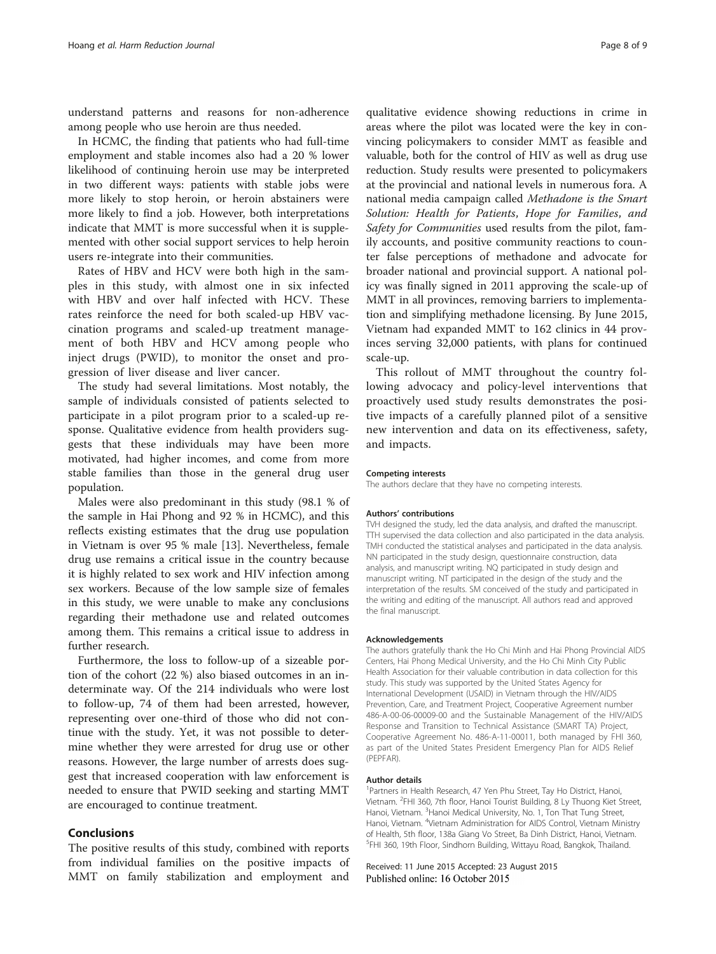understand patterns and reasons for non-adherence among people who use heroin are thus needed.

In HCMC, the finding that patients who had full-time employment and stable incomes also had a 20 % lower likelihood of continuing heroin use may be interpreted in two different ways: patients with stable jobs were more likely to stop heroin, or heroin abstainers were more likely to find a job. However, both interpretations indicate that MMT is more successful when it is supplemented with other social support services to help heroin users re-integrate into their communities.

Rates of HBV and HCV were both high in the samples in this study, with almost one in six infected with HBV and over half infected with HCV. These rates reinforce the need for both scaled-up HBV vaccination programs and scaled-up treatment management of both HBV and HCV among people who inject drugs (PWID), to monitor the onset and progression of liver disease and liver cancer.

The study had several limitations. Most notably, the sample of individuals consisted of patients selected to participate in a pilot program prior to a scaled-up response. Qualitative evidence from health providers suggests that these individuals may have been more motivated, had higher incomes, and come from more stable families than those in the general drug user population.

Males were also predominant in this study (98.1 % of the sample in Hai Phong and 92 % in HCMC), and this reflects existing estimates that the drug use population in Vietnam is over 95 % male [\[13](#page-8-0)]. Nevertheless, female drug use remains a critical issue in the country because it is highly related to sex work and HIV infection among sex workers. Because of the low sample size of females in this study, we were unable to make any conclusions regarding their methadone use and related outcomes among them. This remains a critical issue to address in further research.

Furthermore, the loss to follow-up of a sizeable portion of the cohort (22 %) also biased outcomes in an indeterminate way. Of the 214 individuals who were lost to follow-up, 74 of them had been arrested, however, representing over one-third of those who did not continue with the study. Yet, it was not possible to determine whether they were arrested for drug use or other reasons. However, the large number of arrests does suggest that increased cooperation with law enforcement is needed to ensure that PWID seeking and starting MMT are encouraged to continue treatment.

# Conclusions

The positive results of this study, combined with reports from individual families on the positive impacts of MMT on family stabilization and employment and

qualitative evidence showing reductions in crime in areas where the pilot was located were the key in convincing policymakers to consider MMT as feasible and valuable, both for the control of HIV as well as drug use reduction. Study results were presented to policymakers at the provincial and national levels in numerous fora. A national media campaign called Methadone is the Smart Solution: Health for Patients, Hope for Families, and Safety for Communities used results from the pilot, family accounts, and positive community reactions to counter false perceptions of methadone and advocate for broader national and provincial support. A national policy was finally signed in 2011 approving the scale-up of MMT in all provinces, removing barriers to implementation and simplifying methadone licensing. By June 2015, Vietnam had expanded MMT to 162 clinics in 44 provinces serving 32,000 patients, with plans for continued scale-up.

This rollout of MMT throughout the country following advocacy and policy-level interventions that proactively used study results demonstrates the positive impacts of a carefully planned pilot of a sensitive new intervention and data on its effectiveness, safety, and impacts.

#### Competing interests

The authors declare that they have no competing interests.

#### Authors' contributions

TVH designed the study, led the data analysis, and drafted the manuscript. TTH supervised the data collection and also participated in the data analysis. TMH conducted the statistical analyses and participated in the data analysis. NN participated in the study design, questionnaire construction, data analysis, and manuscript writing. NQ participated in study design and manuscript writing. NT participated in the design of the study and the interpretation of the results. SM conceived of the study and participated in the writing and editing of the manuscript. All authors read and approved the final manuscript.

#### Acknowledgements

The authors gratefully thank the Ho Chi Minh and Hai Phong Provincial AIDS Centers, Hai Phong Medical University, and the Ho Chi Minh City Public Health Association for their valuable contribution in data collection for this study. This study was supported by the United States Agency for International Development (USAID) in Vietnam through the HIV/AIDS Prevention, Care, and Treatment Project, Cooperative Agreement number 486-A-00-06-00009-00 and the Sustainable Management of the HIV/AIDS Response and Transition to Technical Assistance (SMART TA) Project, Cooperative Agreement No. 486-A-11-00011, both managed by FHI 360, as part of the United States President Emergency Plan for AIDS Relief (PEPFAR).

#### Author details

<sup>1</sup>Partners in Health Research, 47 Yen Phu Street, Tay Ho District, Hanoi, Vietnam. <sup>2</sup>FHI 360, 7th floor, Hanoi Tourist Building, 8 Ly Thuong Kiet Street Hanoi, Vietnam. <sup>3</sup> Hanoi Medical University, No. 1, Ton That Tung Street, Hanoi, Vietnam. <sup>4</sup>Vietnam Administration for AIDS Control, Vietnam Ministry of Health, 5th floor, 138a Giang Vo Street, Ba Dinh District, Hanoi, Vietnam. 5 FHI 360, 19th Floor, Sindhorn Building, Wittayu Road, Bangkok, Thailand.

Received: 11 June 2015 Accepted: 23 August 2015 Published online: 16 October 2015